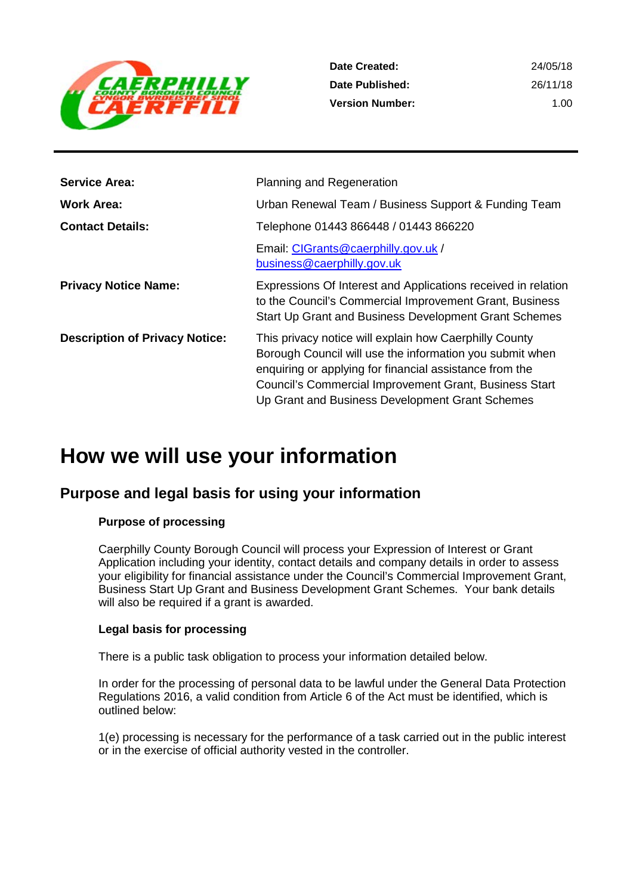

| Date Created:          | 24/05/18 |
|------------------------|----------|
| Date Published:        | 26/11/18 |
| <b>Version Number:</b> | 1.00     |

| <b>Service Area:</b>                  | <b>Planning and Regeneration</b>                                                                                                                                                                                                                                                           |
|---------------------------------------|--------------------------------------------------------------------------------------------------------------------------------------------------------------------------------------------------------------------------------------------------------------------------------------------|
| <b>Work Area:</b>                     | Urban Renewal Team / Business Support & Funding Team                                                                                                                                                                                                                                       |
| <b>Contact Details:</b>               | Telephone 01443 866448 / 01443 866220                                                                                                                                                                                                                                                      |
|                                       | Email: CIGrants@caerphilly.gov.uk /<br>business@caerphilly.gov.uk                                                                                                                                                                                                                          |
| <b>Privacy Notice Name:</b>           | Expressions Of Interest and Applications received in relation<br>to the Council's Commercial Improvement Grant, Business<br>Start Up Grant and Business Development Grant Schemes                                                                                                          |
| <b>Description of Privacy Notice:</b> | This privacy notice will explain how Caerphilly County<br>Borough Council will use the information you submit when<br>enquiring or applying for financial assistance from the<br>Council's Commercial Improvement Grant, Business Start<br>Up Grant and Business Development Grant Schemes |

## **How we will use your information**

## **Purpose and legal basis for using your information**

#### **Purpose of processing**

Caerphilly County Borough Council will process your Expression of Interest or Grant Application including your identity, contact details and company details in order to assess your eligibility for financial assistance under the Council's Commercial Improvement Grant, Business Start Up Grant and Business Development Grant Schemes. Your bank details will also be required if a grant is awarded.

#### **Legal basis for processing**

There is a public task obligation to process your information detailed below.

In order for the processing of personal data to be lawful under the General Data Protection Regulations 2016, a valid condition from Article 6 of the Act must be identified, which is outlined below:

1(e) processing is necessary for the performance of a task carried out in the public interest or in the exercise of official authority vested in the controller.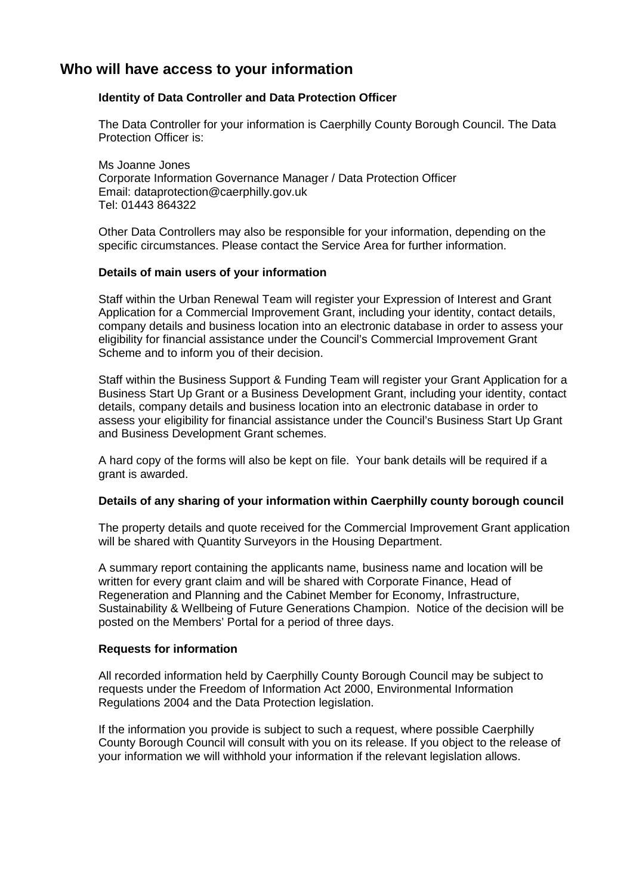## **Who will have access to your information**

#### **Identity of Data Controller and Data Protection Officer**

The Data Controller for your information is Caerphilly County Borough Council. The Data Protection Officer is:

Ms Joanne Jones Corporate Information Governance Manager / Data Protection Officer Email: dataprotection@caerphilly.gov.uk Tel: 01443 864322

Other Data Controllers may also be responsible for your information, depending on the specific circumstances. Please contact the Service Area for further information.

#### **Details of main users of your information**

Staff within the Urban Renewal Team will register your Expression of Interest and Grant Application for a Commercial Improvement Grant, including your identity, contact details, company details and business location into an electronic database in order to assess your eligibility for financial assistance under the Council's Commercial Improvement Grant Scheme and to inform you of their decision.

Staff within the Business Support & Funding Team will register your Grant Application for a Business Start Up Grant or a Business Development Grant, including your identity, contact details, company details and business location into an electronic database in order to assess your eligibility for financial assistance under the Council's Business Start Up Grant and Business Development Grant schemes.

A hard copy of the forms will also be kept on file. Your bank details will be required if a grant is awarded.

#### **Details of any sharing of your information within Caerphilly county borough council**

The property details and quote received for the Commercial Improvement Grant application will be shared with Quantity Surveyors in the Housing Department.

A summary report containing the applicants name, business name and location will be written for every grant claim and will be shared with Corporate Finance, Head of Regeneration and Planning and the Cabinet Member for Economy, Infrastructure, Sustainability & Wellbeing of Future Generations Champion. Notice of the decision will be posted on the Members' Portal for a period of three days.

#### **Requests for information**

All recorded information held by Caerphilly County Borough Council may be subject to requests under the Freedom of Information Act 2000, Environmental Information Regulations 2004 and the Data Protection legislation.

If the information you provide is subject to such a request, where possible Caerphilly County Borough Council will consult with you on its release. If you object to the release of your information we will withhold your information if the relevant legislation allows.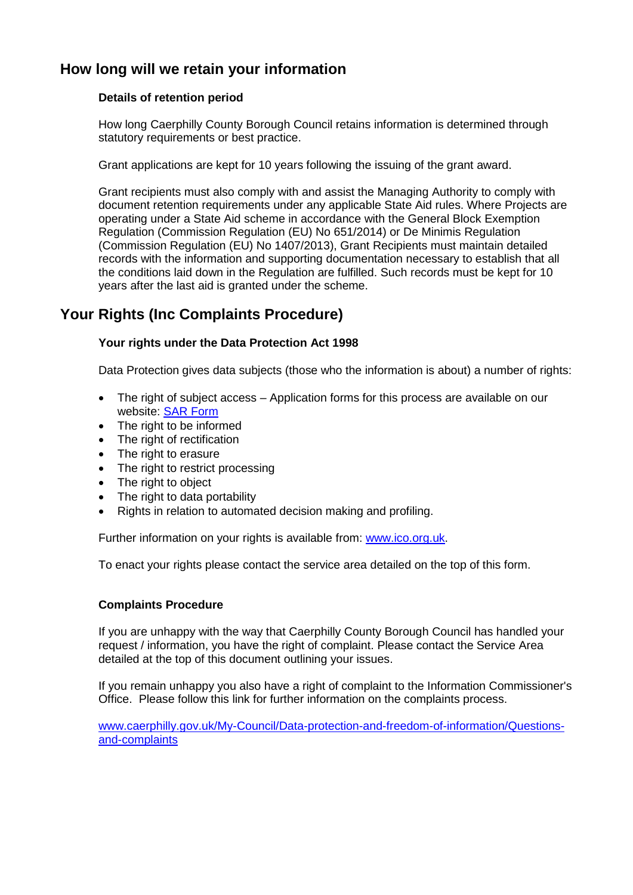## **How long will we retain your information**

#### **Details of retention period**

How long Caerphilly County Borough Council retains information is determined through statutory requirements or best practice.

Grant applications are kept for 10 years following the issuing of the grant award.

Grant recipients must also comply with and assist the Managing Authority to comply with document retention requirements under any applicable State Aid rules. Where Projects are operating under a State Aid scheme in accordance with the General Block Exemption Regulation (Commission Regulation (EU) No 651/2014) or De Minimis Regulation (Commission Regulation (EU) No 1407/2013), Grant Recipients must maintain detailed records with the information and supporting documentation necessary to establish that all the conditions laid down in the Regulation are fulfilled. Such records must be kept for 10 years after the last aid is granted under the scheme.

## **Your Rights (Inc Complaints Procedure)**

#### **Your rights under the Data Protection Act 1998**

Data Protection gives data subjects (those who the information is about) a number of rights:

- The right of subject access Application forms for this process are available on our website: [SAR Form](http://www.caerphilly.gov.uk/CaerphillyDocs/Council-and-democracy/sar_form.aspx)
- The right to be informed
- The right of rectification
- The right to erasure
- The right to restrict processing
- The right to object
- The right to data portability
- Rights in relation to automated decision making and profiling.

Further information on your rights is available from: [www.ico.org.uk.](http://www.ico.org.uk/)

To enact your rights please contact the service area detailed on the top of this form.

#### **Complaints Procedure**

If you are unhappy with the way that Caerphilly County Borough Council has handled your request / information, you have the right of complaint. Please contact the Service Area detailed at the top of this document outlining your issues.

If you remain unhappy you also have a right of complaint to the Information Commissioner's Office. Please follow this link for further information on the complaints process.

[www.caerphilly.gov.uk/My-Council/Data-protection-and-freedom-of-information/Questions](http://www.caerphilly.gov.uk/My-Council/Data-protection-and-freedom-of-information/Questions-and-complaints)[and-complaints](http://www.caerphilly.gov.uk/My-Council/Data-protection-and-freedom-of-information/Questions-and-complaints)